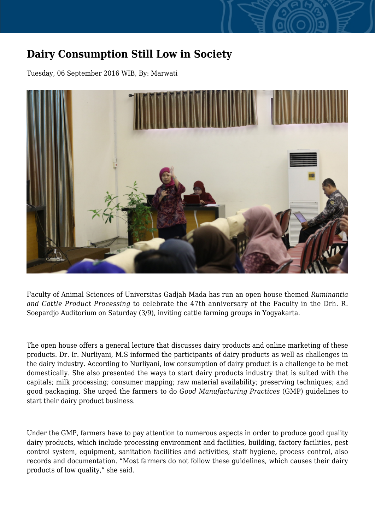## **Dairy Consumption Still Low in Society**

Tuesday, 06 September 2016 WIB, By: Marwati



Faculty of Animal Sciences of Universitas Gadjah Mada has run an open house themed *Ruminantia and Cattle Product Processing* to celebrate the 47th anniversary of the Faculty in the Drh. R. Soepardjo Auditorium on Saturday (3/9), inviting cattle farming groups in Yogyakarta.

The open house offers a general lecture that discusses dairy products and online marketing of these products. Dr. Ir. Nurliyani, M.S informed the participants of dairy products as well as challenges in the dairy industry. According to Nurliyani, low consumption of dairy product is a challenge to be met domestically. She also presented the ways to start dairy products industry that is suited with the capitals; milk processing; consumer mapping; raw material availability; preserving techniques; and good packaging. She urged the farmers to do *Good Manufacturing Practices* (GMP) guidelines to start their dairy product business.

Under the GMP, farmers have to pay attention to numerous aspects in order to produce good quality dairy products, which include processing environment and facilities, building, factory facilities, pest control system, equipment, sanitation facilities and activities, staff hygiene, process control, also records and documentation. "Most farmers do not follow these guidelines, which causes their dairy products of low quality," she said.